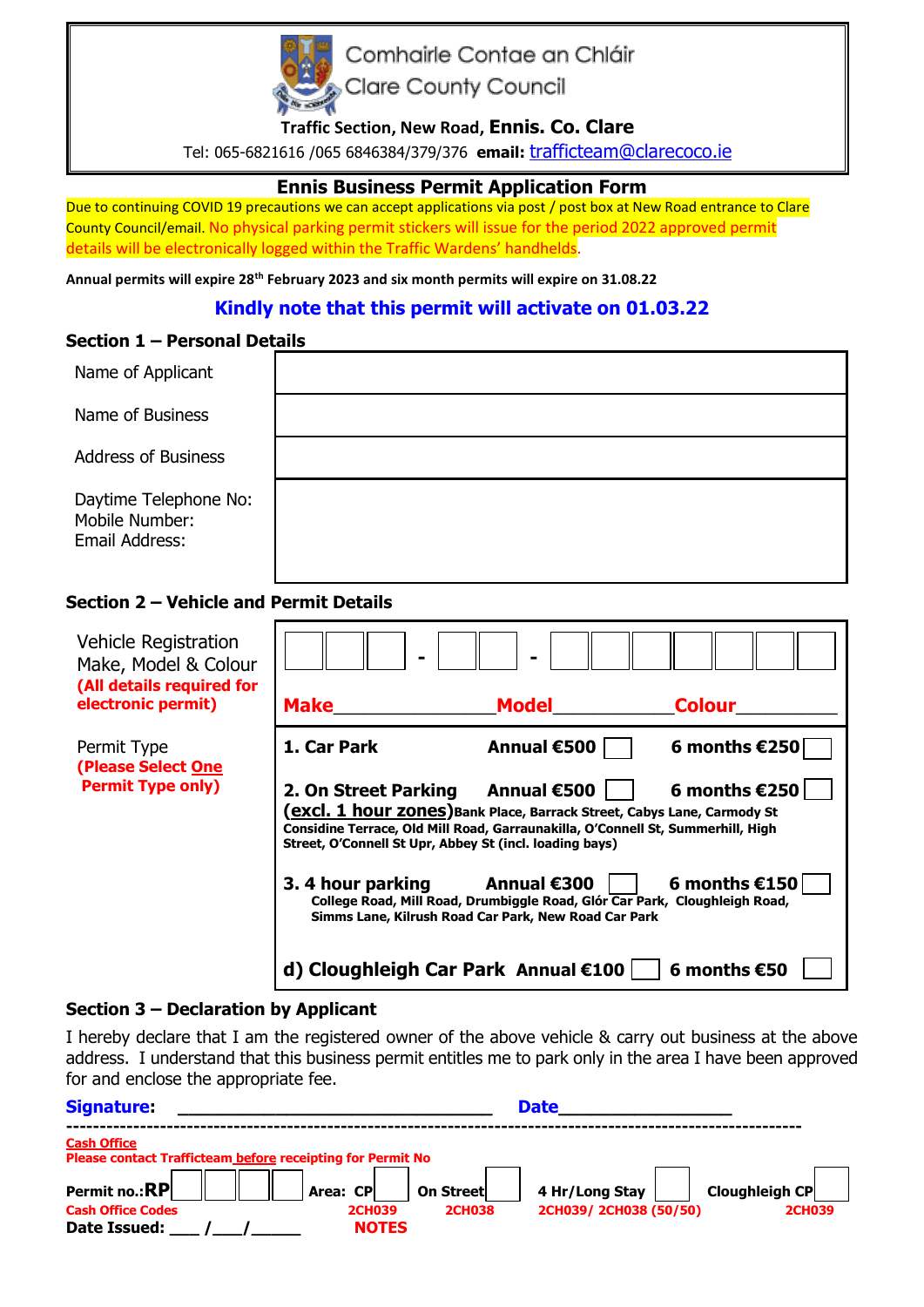

Comhairle Contae an Chláir

Clare County Council

**Traffic Section, New Road, Ennis. Co. Clare**

Tel: 065-6821616 /065 6846384/379/376 **email:** [trafficteam@clarecoco.ie](mailto:trafficteam@clarecoco.ie)

# **Ennis Business Permit Application Form**

Due to continuing COVID 19 precautions we can accept applications via post / post box at New Road entrance to Clare County Council/email. No physical parking permit stickers will issue for the period 2022 approved permit details will be electronically logged within the Traffic Wardens' handhelds.

**Annual permits will expire 28th February 2023 and six month permits will expire on 31.08.22**

# **Kindly note that this permit will activate on 01.03.22**

### **Section 1 – Personal Details**

| Name of Applicant                                         |  |
|-----------------------------------------------------------|--|
| Name of Business                                          |  |
| <b>Address of Business</b>                                |  |
| Daytime Telephone No:<br>Mobile Number:<br>Email Address: |  |

## **Section 2 – Vehicle and Permit Details**

| <b>Vehicle Registration</b><br>Make, Model & Colour<br>(All details required for<br>electronic permit) | <b>Make</b>                                                                                                                                                                                                                                                                  | $\blacksquare$<br><b>Model</b> | <b>Colour</b>                  |  |  |
|--------------------------------------------------------------------------------------------------------|------------------------------------------------------------------------------------------------------------------------------------------------------------------------------------------------------------------------------------------------------------------------------|--------------------------------|--------------------------------|--|--|
| Permit Type<br>(Please Select One<br><b>Permit Type only)</b>                                          | 1. Car Park                                                                                                                                                                                                                                                                  | Annual €500                    | 6 months $€250$                |  |  |
|                                                                                                        | 6 months $£250$<br>2. On Street Parking Annual €500<br>(excl. 1 hour zones) Bank Place, Barrack Street, Cabys Lane, Carmody St<br>Considine Terrace, Old Mill Road, Garraunakilla, O'Connell St, Summerhill, High<br>Street, O'Connell St Upr, Abbey St (incl. loading bays) |                                |                                |  |  |
|                                                                                                        | 6 months $£150$<br>3.4 hour parking<br>Annual €300<br>College Road, Mill Road, Drumbiggle Road, Glór Car Park, Cloughleigh Road,<br>Simms Lane, Kilrush Road Car Park, New Road Car Park                                                                                     |                                |                                |  |  |
|                                                                                                        | d) Cloughleigh Car Park Annual €100                                                                                                                                                                                                                                          |                                | $\vert$ 6 months $\epsilon$ 50 |  |  |

### **Section 3 – Declaration by Applicant**

I hereby declare that I am the registered owner of the above vehicle & carry out business at the above address. I understand that this business permit entitles me to park only in the area I have been approved for and enclose the appropriate fee.

| <b>Signature</b>                                                                        |                               |                  | <b>Date</b>           |                |
|-----------------------------------------------------------------------------------------|-------------------------------|------------------|-----------------------|----------------|
| <b>Cash Office</b><br><b>Please contact Trafficteam before receipting for Permit No</b> |                               |                  |                       |                |
| Permit no.:RP                                                                           | Area: CP                      | <b>On Street</b> | 4 Hr/Long Stay        | Cloughleigh CP |
| <b>Cash Office Codes</b><br>Date Issued:                                                | <b>2CH039</b><br><b>NOTES</b> | <b>2CH038</b>    | 2CH039/2CH038 (50/50) | <b>2CH039</b>  |